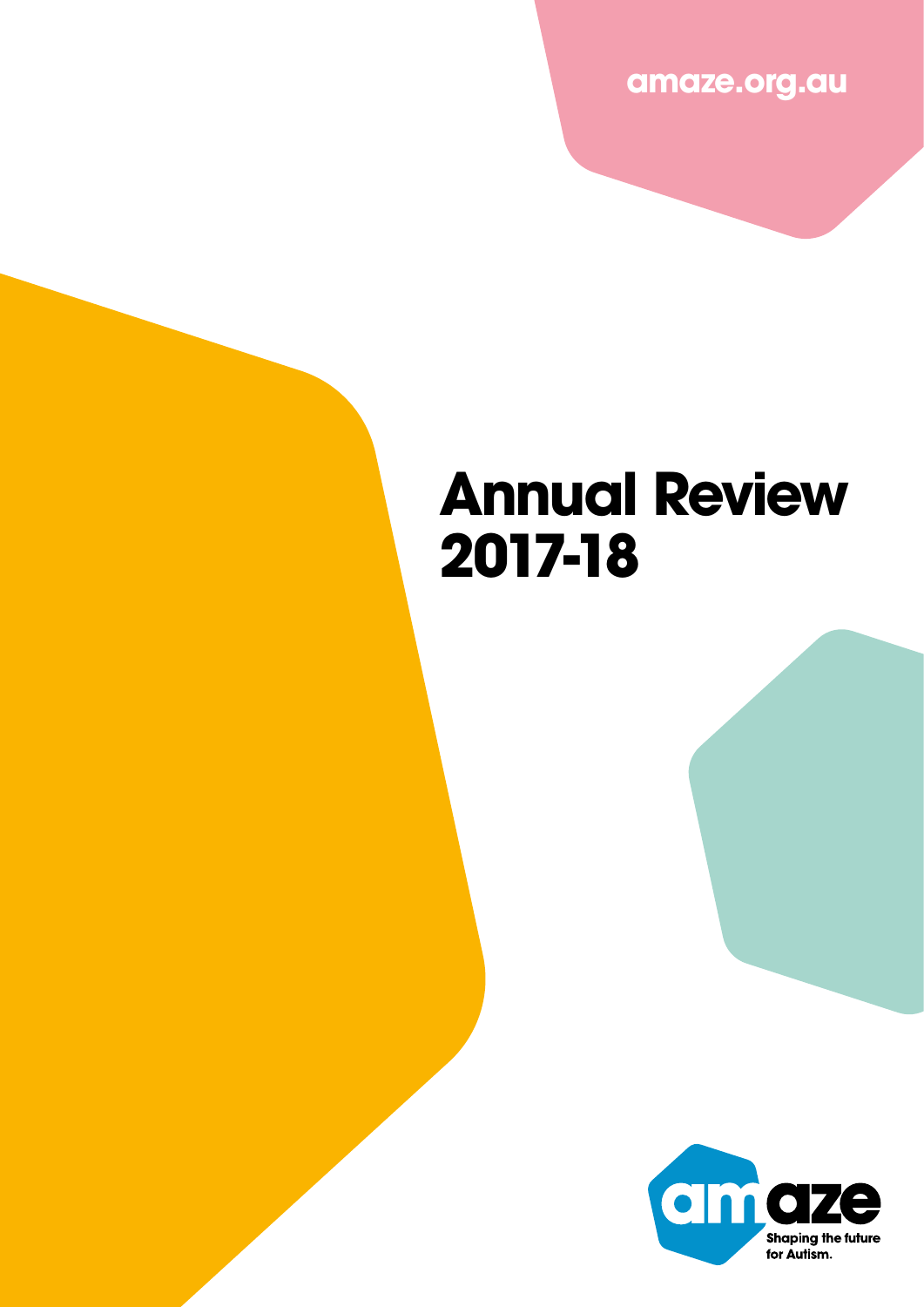**amaze.org.au**

## **Annual Review 2017-18**

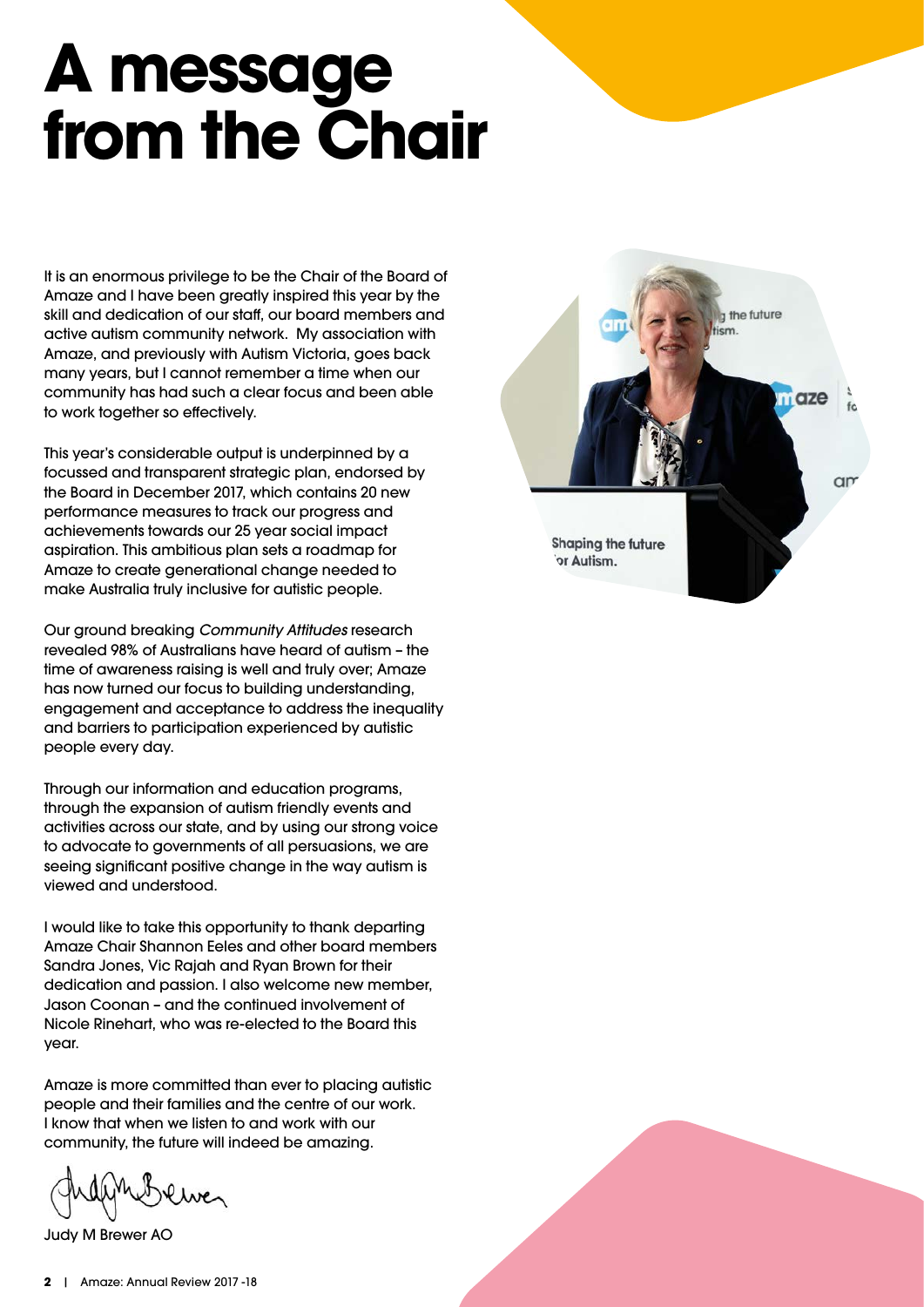# **A message from the Chair**

It is an enormous privilege to be the Chair of the Board of Amaze and I have been greatly inspired this year by the skill and dedication of our staff, our board members and active autism community network. My association with Amaze, and previously with Autism Victoria, goes back many years, but I cannot remember a time when our community has had such a clear focus and been able to work together so effectively.

This year's considerable output is underpinned by a focussed and transparent strategic plan, endorsed by the Board in December 2017, which contains 20 new performance measures to track our progress and achievements towards our 25 year social impact aspiration. This ambitious plan sets a roadmap for Amaze to create generational change needed to make Australia truly inclusive for autistic people.

Our ground breaking *Community Attitudes* research revealed 98% of Australians have heard of autism – the time of awareness raising is well and truly over; Amaze has now turned our focus to building understanding, engagement and acceptance to address the inequality and barriers to participation experienced by autistic people every day.

Through our information and education programs, through the expansion of autism friendly events and activities across our state, and by using our strong voice to advocate to governments of all persuasions, we are seeing significant positive change in the way autism is viewed and understood.

I would like to take this opportunity to thank departing Amaze Chair Shannon Eeles and other board members Sandra Jones, Vic Rajah and Ryan Brown for their dedication and passion. I also welcome new member, Jason Coonan – and the continued involvement of Nicole Rinehart, who was re-elected to the Board this year.

Amaze is more committed than ever to placing autistic people and their families and the centre of our work. I know that when we listen to and work with our community, the future will indeed be amazing.

Judy M Brewer AO

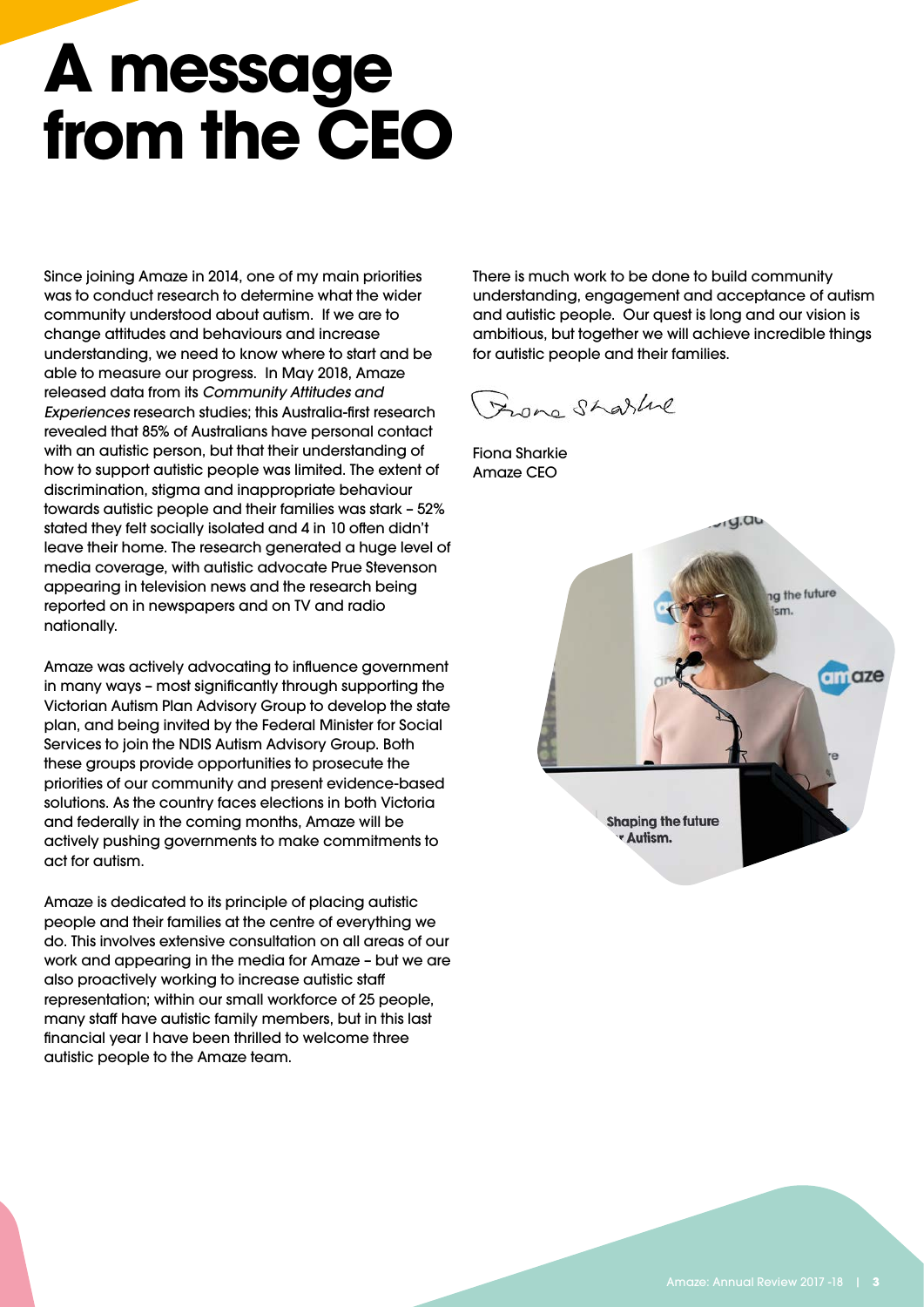# **A message from the CEO**

Since joining Amaze in 2014, one of my main priorities was to conduct research to determine what the wider community understood about autism. If we are to change attitudes and behaviours and increase understanding, we need to know where to start and be able to measure our progress. In May 2018, Amaze released data from its *Community Attitudes and Experiences* research studies; this Australia-first research revealed that 85% of Australians have personal contact with an autistic person, but that their understanding of how to support autistic people was limited. The extent of discrimination, stigma and inappropriate behaviour towards autistic people and their families was stark – 52% stated they felt socially isolated and 4 in 10 often didn't leave their home. The research generated a huge level of media coverage, with autistic advocate Prue Stevenson appearing in television news and the research being reported on in newspapers and on TV and radio nationally.

Amaze was actively advocating to influence government in many ways – most significantly through supporting the Victorian Autism Plan Advisory Group to develop the state plan, and being invited by the Federal Minister for Social Services to join the NDIS Autism Advisory Group. Both these groups provide opportunities to prosecute the priorities of our community and present evidence-based solutions. As the country faces elections in both Victoria and federally in the coming months, Amaze will be actively pushing governments to make commitments to act for autism.

Amaze is dedicated to its principle of placing autistic people and their families at the centre of everything we do. This involves extensive consultation on all areas of our work and appearing in the media for Amaze – but we are also proactively working to increase autistic staff representation; within our small workforce of 25 people, many staff have autistic family members, but in this last financial year I have been thrilled to welcome three autistic people to the Amaze team.

There is much work to be done to build community understanding, engagement and acceptance of autism and autistic people. Our quest is long and our vision is ambitious, but together we will achieve incredible things for autistic people and their families.

Franc Sharline

Fiona Sharkie Amaze CEO

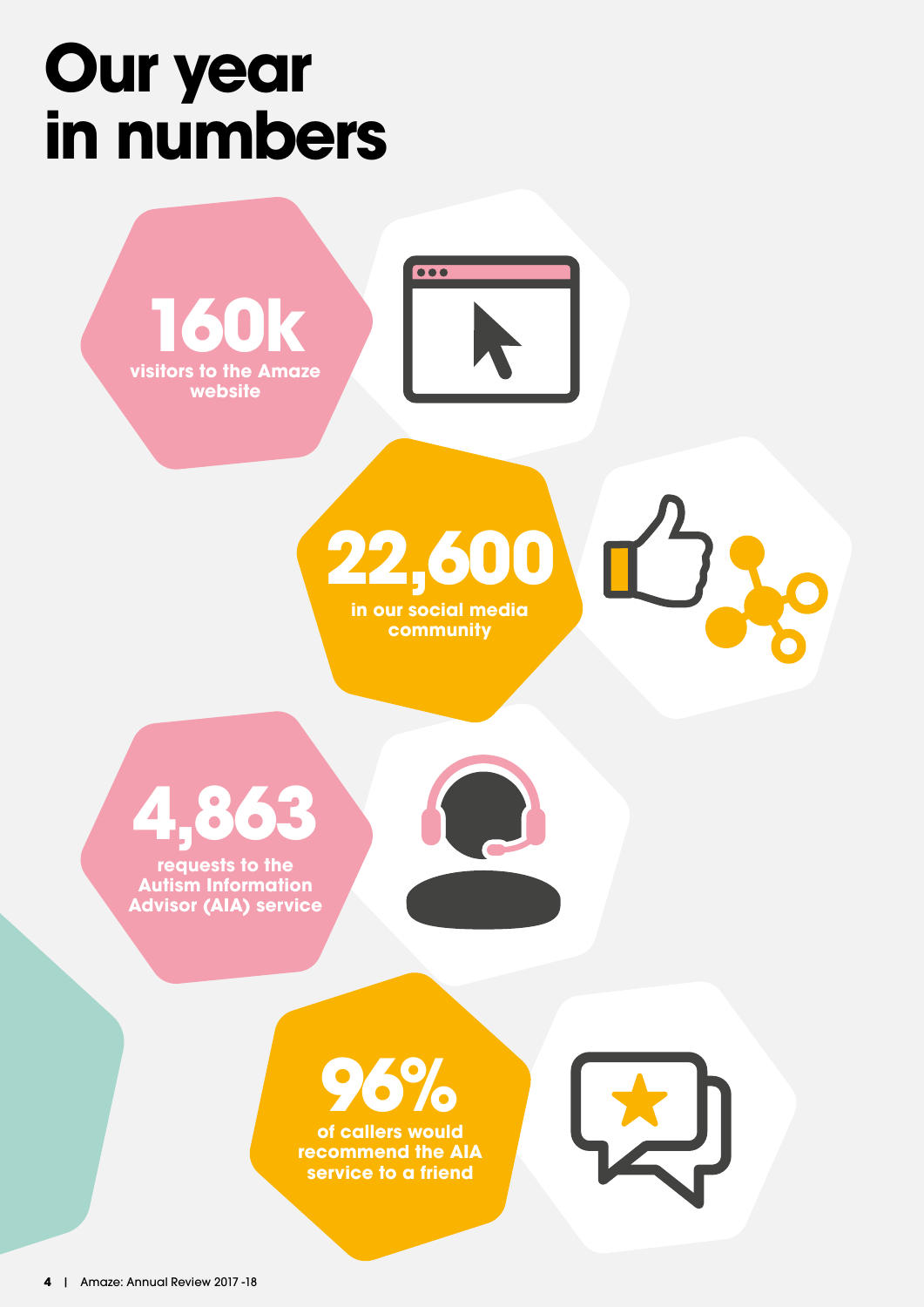## **Our year in numbers**





**community**





**requests to the Autism Information Advisor (AIA) service**





**recommend the AIA service to a friend**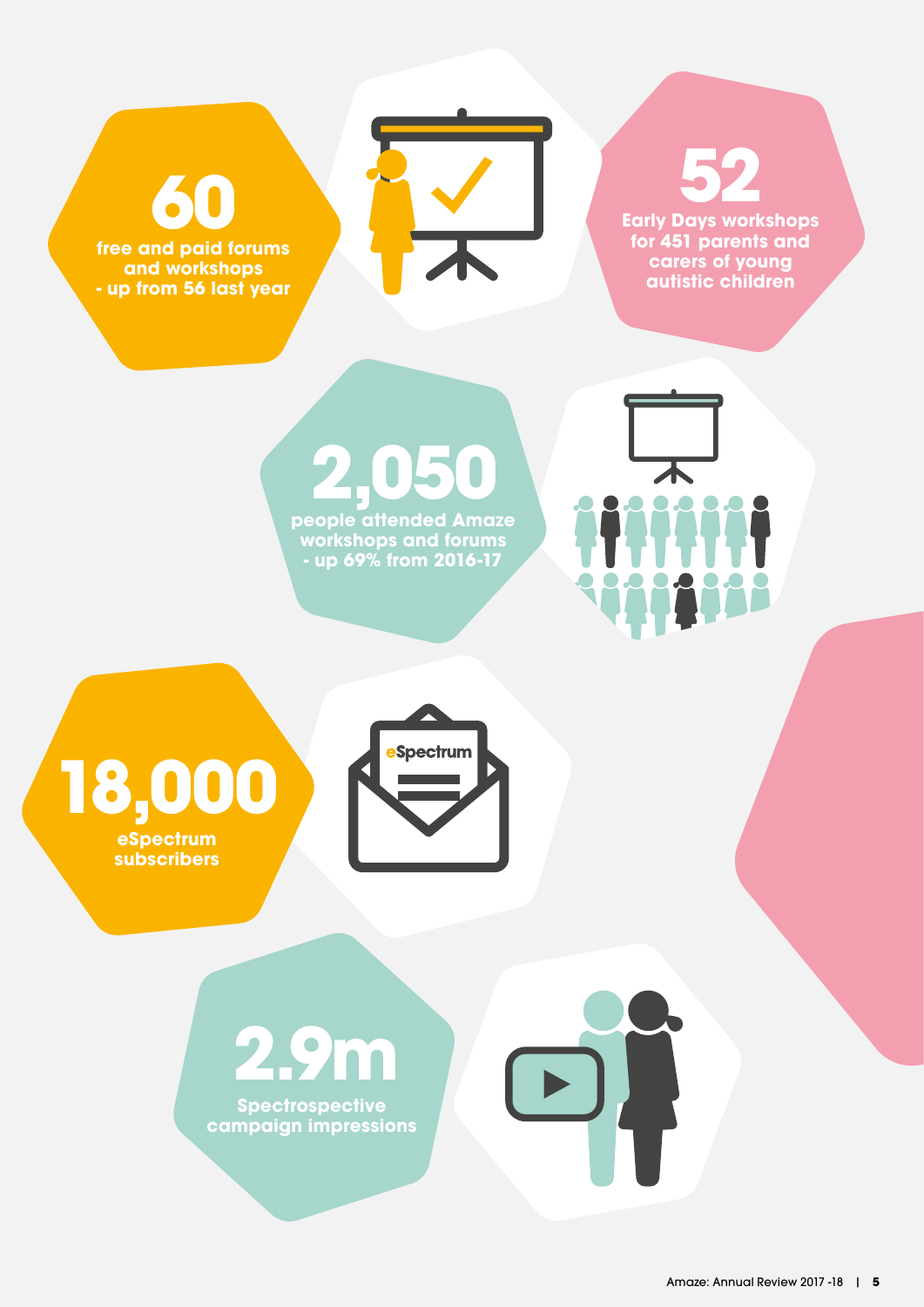**60**

**free and paid forums and workshops - up from 56 last year**



**52**

**Early Days workshops for 451 parents and carers of young autistic children**

 $\overline{1}$ 

 $\mathbf{D}$ 

**2,050 people attended Amaze workshops and forums - up 69% from 2016-17**



**18,000 eSpectrum subscribers**

## **2.9m**

**Spectrospective campaign impressions**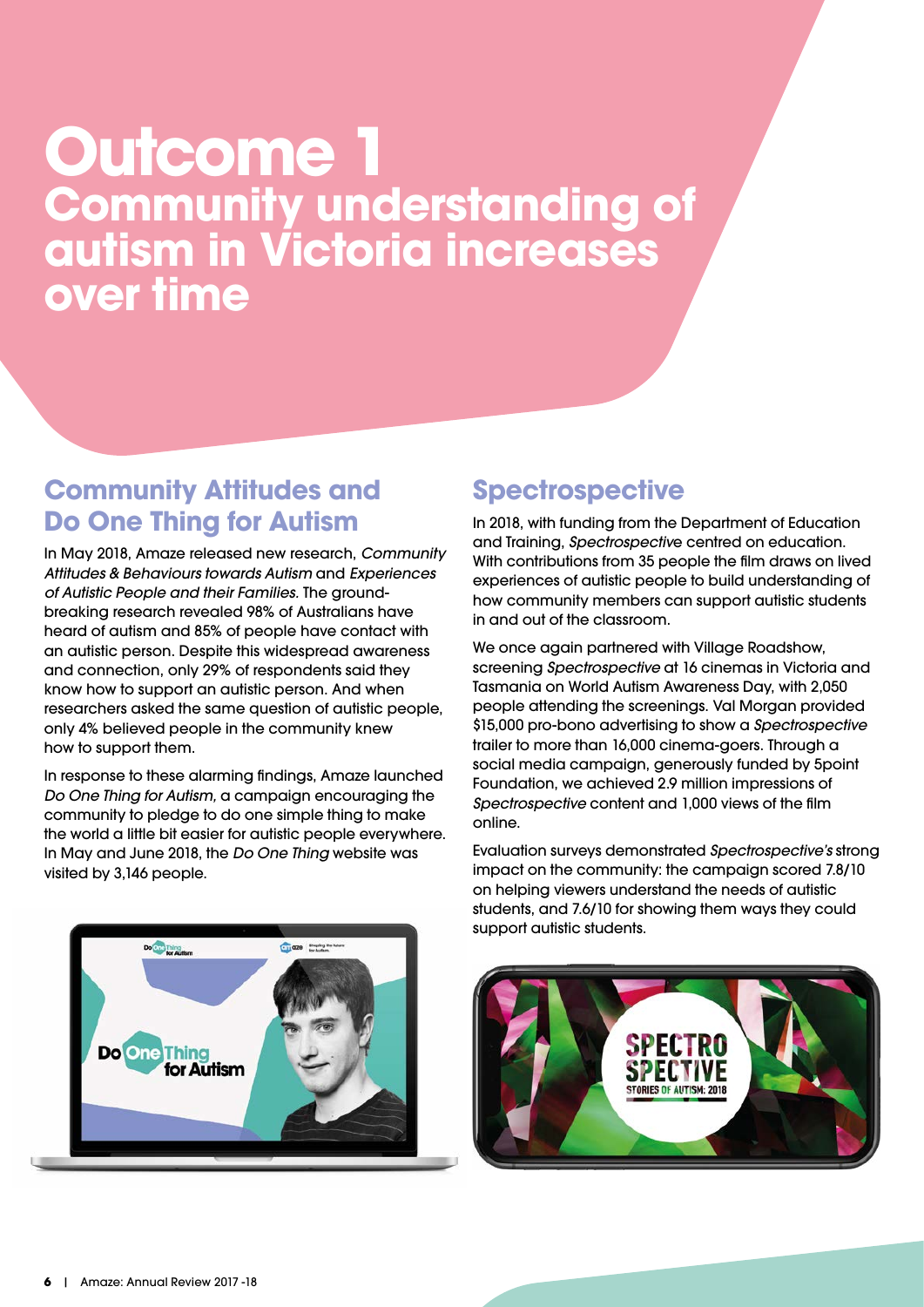## **Outcome 1 Community understanding of autism in Victoria increases over time**

#### **Community Attitudes and Do One Thing for Autism**

In May 2018, Amaze released new research, *Community Attitudes & Behaviours towards Autism* and *Experiences of Autistic People and their Families.* The groundbreaking research revealed 98% of Australians have heard of autism and 85% of people have contact with an autistic person. Despite this widespread awareness and connection, only 29% of respondents said they know how to support an autistic person. And when researchers asked the same question of autistic people, only 4% believed people in the community knew how to support them.

In response to these alarming findings, Amaze launched *Do One Thing for Autism,* a campaign encouraging the community to pledge to do one simple thing to make the world a little bit easier for autistic people everywhere. In May and June 2018, the *Do One Thing* website was visited by 3,146 people.

## **Do Cuange Books Do One Thing** for Autism

### **Spectrospective**

In 2018, with funding from the Department of Education and Training, *Spectrospectiv*e centred on education. With contributions from 35 people the film draws on lived experiences of autistic people to build understanding of how community members can support autistic students in and out of the classroom.

We once again partnered with Village Roadshow, screening *Spectrospective* at 16 cinemas in Victoria and Tasmania on World Autism Awareness Day, with 2,050 people attending the screenings. Val Morgan provided \$15,000 pro-bono advertising to show a *Spectrospective* trailer to more than 16,000 cinema-goers. Through a social media campaign, generously funded by 5point Foundation, we achieved 2.9 million impressions of *Spectrospective* content and 1,000 views of the film online.

Evaluation surveys demonstrated *Spectrospective's* strong impact on the community: the campaign scored 7.8/10 on helping viewers understand the needs of autistic students, and 7.6/10 for showing them ways they could support autistic students.

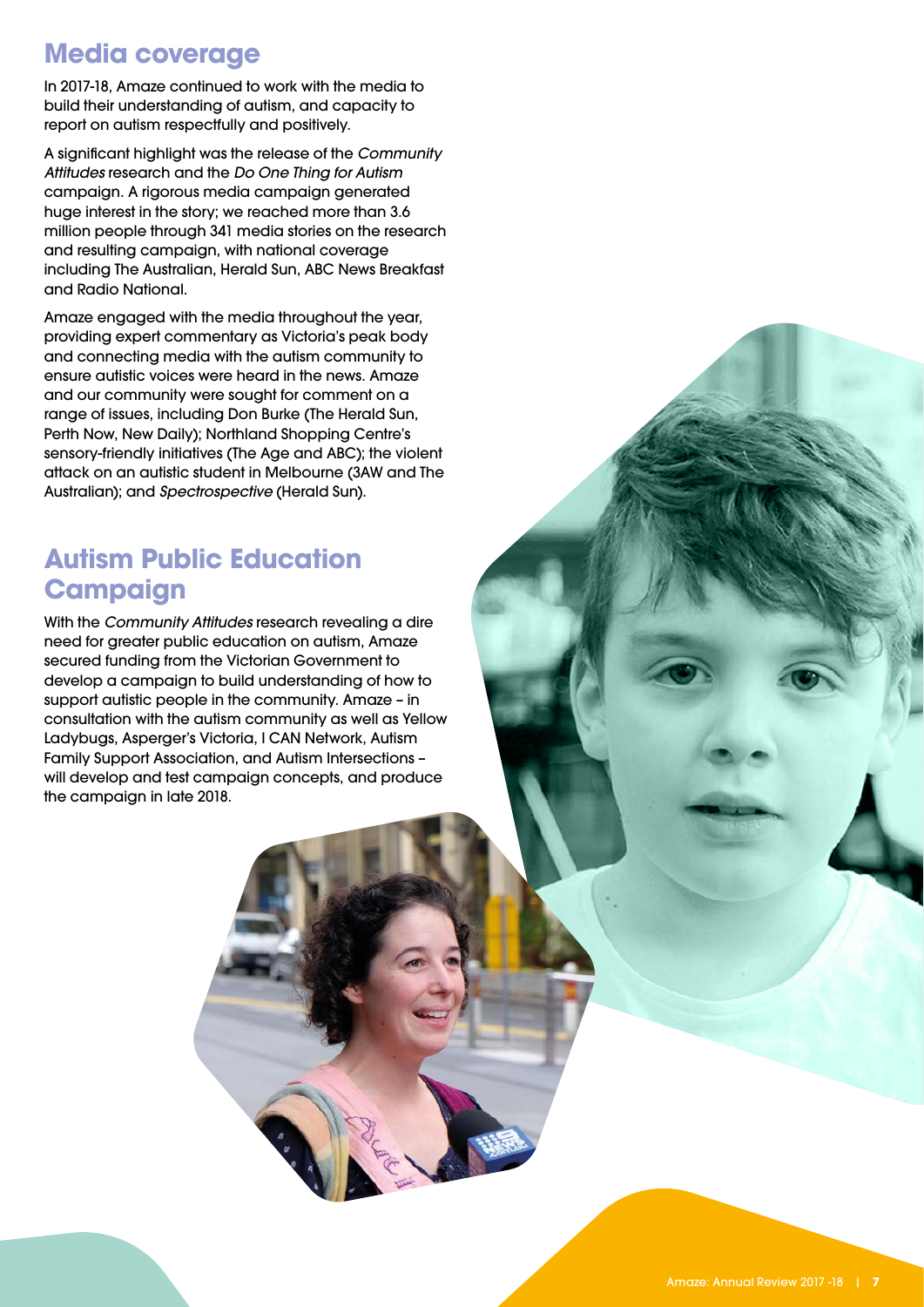#### **Media coverage**

In 2017-18, Amaze continued to work with the media to build their understanding of autism, and capacity to report on autism respectfully and positively.

A significant highlight was the release of the *Community Attitudes* research and the *Do One Thing for Autism* campaign. A rigorous media campaign generated huge interest in the story; we reached more than 3.6 million people through 341 media stories on the research and resulting campaign, with national coverage including The Australian, Herald Sun, ABC News Breakfast and Radio National.

Amaze engaged with the media throughout the year, providing expert commentary as Victoria's peak body and connecting media with the autism community to ensure autistic voices were heard in the news. Amaze and our community were sought for comment on a range of issues, including Don Burke (The Herald Sun, Perth Now, New Daily); Northland Shopping Centre's sensory-friendly initiatives (The Age and ABC); the violent attack on an autistic student in Melbourne (3AW and The Australian); and *Spectrospective* (Herald Sun).

#### **Autism Public Education Campaign**

With the *Community Attitudes* research revealing a dire need for greater public education on autism, Amaze secured funding from the Victorian Government to develop a campaign to build understanding of how to support autistic people in the community. Amaze – in consultation with the autism community as well as Yellow Ladybugs, Asperger's Victoria, I CAN Network, Autism Family Support Association, and Autism Intersections – will develop and test campaign concepts, and produce the campaign in late 2018.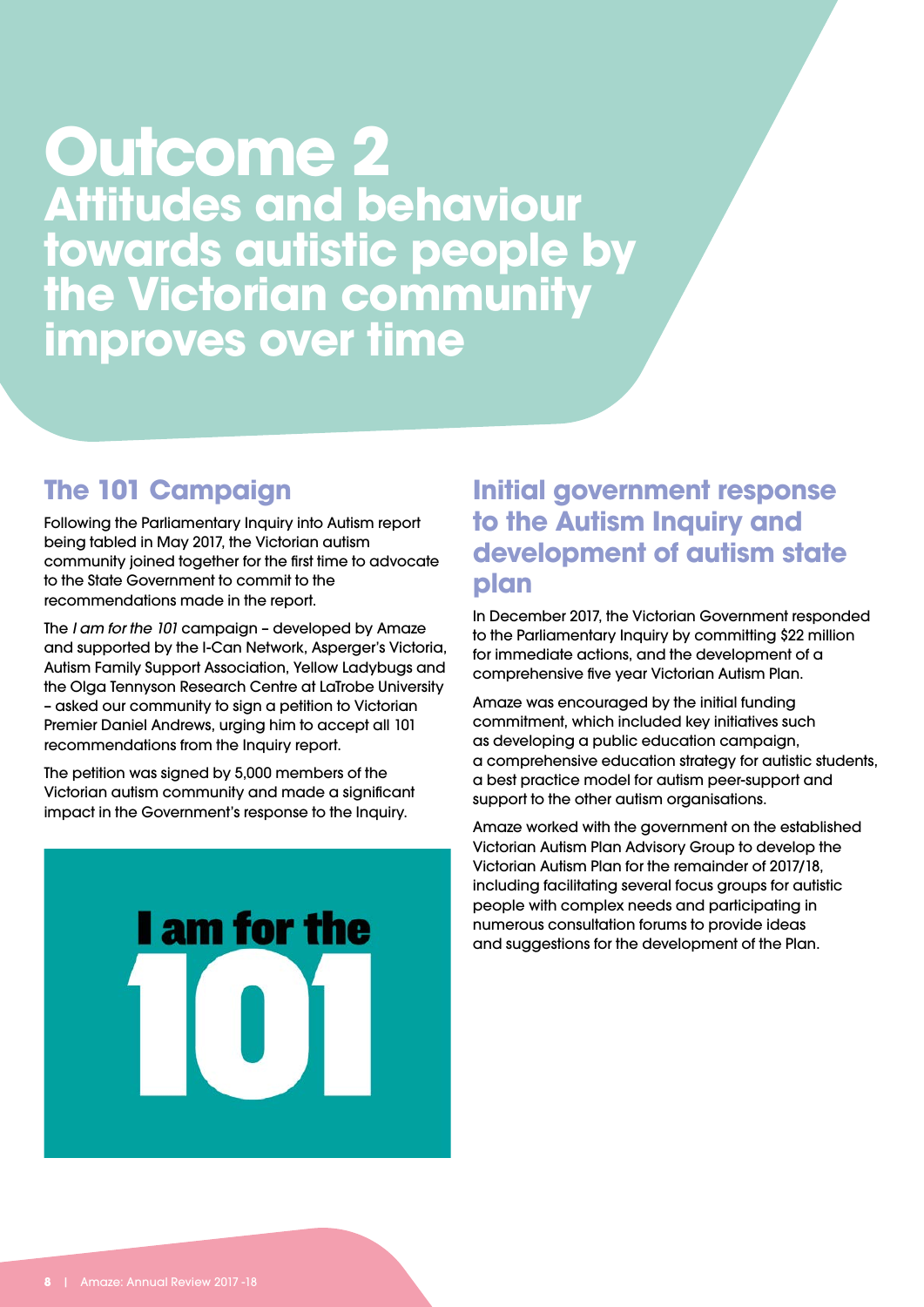### **Outcome 2 Attitudes and behaviour towards autistic people by the Victorian community improves over time**

#### **The 101 Campaign**

Following the Parliamentary Inquiry into Autism report being tabled in May 2017, the Victorian autism community joined together for the first time to advocate to the State Government to commit to the recommendations made in the report.

The *I am for the 101* campaign – developed by Amaze and supported by the I-Can Network, Asperger's Victoria, Autism Family Support Association, Yellow Ladybugs and the Olga Tennyson Research Centre at LaTrobe University – asked our community to sign a petition to Victorian Premier Daniel Andrews, urging him to accept all 101 recommendations from the Inquiry report.

The petition was signed by 5,000 members of the Victorian autism community and made a significant impact in the Government's response to the Inquiry.



#### **Initial government response to the Autism Inquiry and development of autism state plan**

In December 2017, the Victorian Government responded to the Parliamentary Inquiry by committing \$22 million for immediate actions, and the development of a comprehensive five year Victorian Autism Plan.

Amaze was encouraged by the initial funding commitment, which included key initiatives such as developing a public education campaign, a comprehensive education strategy for autistic students, a best practice model for autism peer-support and support to the other autism organisations.

Amaze worked with the government on the established Victorian Autism Plan Advisory Group to develop the Victorian Autism Plan for the remainder of 2017/18, including facilitating several focus groups for autistic people with complex needs and participating in numerous consultation forums to provide ideas and suggestions for the development of the Plan.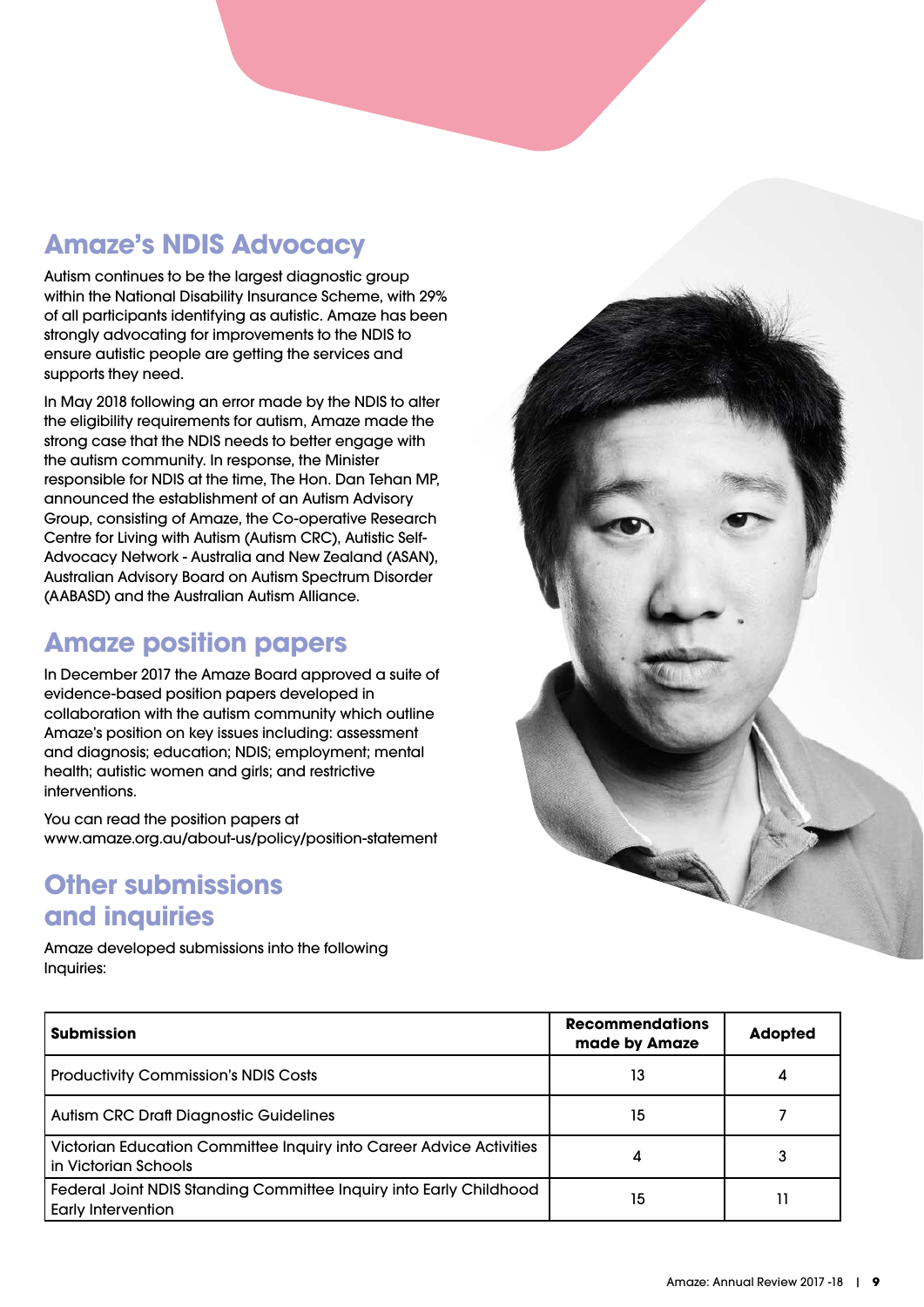### **Amaze's NDIS Advocacy**

Autism continues to be the largest diagnostic group within the National Disability Insurance Scheme, with 29% of all participants identifying as autistic. Amaze has been strongly advocating for improvements to the NDIS to ensure autistic people are getting the services and supports they need.

In May 2018 following an error made by the NDIS to alter the eligibility requirements for autism, Amaze made the strong case that the NDIS needs to better engage with the autism community. In response, the Minister responsible for NDIS at the time, The Hon. Dan Tehan MP, announced the establishment of an Autism Advisory Group, consisting of Amaze, the Co-operative Research Centre for Living with Autism (Autism CRC), Autistic Self-Advocacy Network - Australia and New Zealand (ASAN), Australian Advisory Board on Autism Spectrum Disorder (AABASD) and the Australian Autism Alliance.

### **Amaze position papers**

In December 2017 the Amaze Board approved a suite of evidence-based position papers developed in collaboration with the autism community which outline Amaze's position on key issues including: assessment and diagnosis; education; NDIS; employment; mental health; autistic women and girls; and restrictive interventions.

You can read the position papers at www.amaze.org.au/about-us/policy/position-statement

#### **Other submissions and inquiries**

Amaze developed submissions into the following Inquiries:



| l Submission                                                                                    | <b>Recommendations</b><br>made by Amaze | <b>Adopted</b> |
|-------------------------------------------------------------------------------------------------|-----------------------------------------|----------------|
| <b>Productivity Commission's NDIS Costs</b>                                                     | 13                                      |                |
| <b>Autism CRC Draft Diagnostic Guidelines</b>                                                   | 15                                      |                |
| Victorian Education Committee Inquiry into Career Advice Activities<br>I in Victorian Schools   | 4                                       |                |
| Federal Joint NDIS Standing Committee Inquiry into Early Childhood<br><b>Early Intervention</b> | 15                                      |                |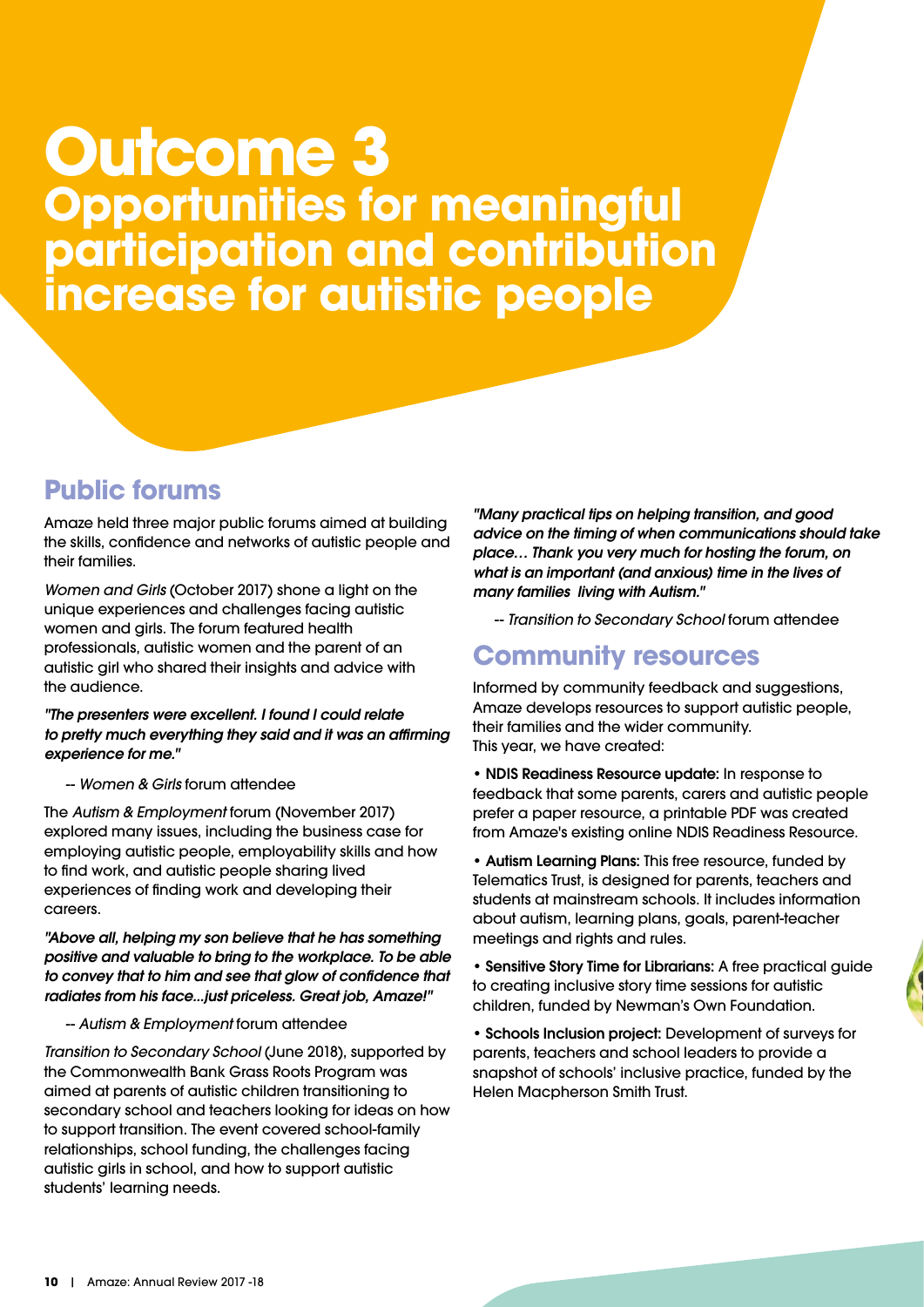## **Outcome 3 Opportunities for meaningful participation and contribution increase for autistic people**

#### **Public forums**

Amaze held three major public forums aimed at building the skills, confidence and networks of autistic people and their families.

*Women and Girls* (October 2017) shone a light on the unique experiences and challenges facing autistic women and girls. The forum featured health professionals, autistic women and the parent of an autistic girl who shared their insights and advice with the audience.

#### *"The presenters were excellent. I found I could relate to pretty much everything they said and it was an affirming experience for me."*

#### -- *Women & Girls* forum attendee

The *Autism & Employment* forum (November 2017) explored many issues, including the business case for employing autistic people, employability skills and how to find work, and autistic people sharing lived experiences of finding work and developing their careers.

*"Above all, helping my son believe that he has something positive and valuable to bring to the workplace. To be able to convey that to him and see that glow of confidence that radiates from his face...just priceless. Great job, Amaze!"*

#### -- *Autism & Employment* forum attendee

*Transition to Secondary School* (June 2018), supported by the Commonwealth Bank Grass Roots Program was aimed at parents of autistic children transitioning to secondary school and teachers looking for ideas on how to support transition. The event covered school-family relationships, school funding, the challenges facing autistic girls in school, and how to support autistic students' learning needs.

*"Many practical tips on helping transition, and good advice on the timing of when communications should take place… Thank you very much for hosting the forum, on what is an important (and anxious) time in the lives of many families living with Autism."*

-- *Transition to Secondary School* forum attendee

#### **Community resources**

Informed by community feedback and suggestions, Amaze develops resources to support autistic people, their families and the wider community. This year, we have created:

• NDIS Readiness Resource update: In response to feedback that some parents, carers and autistic people prefer a paper resource, a printable PDF was created from Amaze's existing online NDIS Readiness Resource.

• Autism Learning Plans: This free resource, funded by Telematics Trust, is designed for parents, teachers and students at mainstream schools. It includes information about autism, learning plans, goals, parent-teacher meetings and rights and rules.

• Sensitive Story Time for Librarians: A free practical guide to creating inclusive story time sessions for autistic children, funded by Newman's Own Foundation.

• Schools Inclusion project: Development of surveys for parents, teachers and school leaders to provide a snapshot of schools' inclusive practice, funded by the Helen Macpherson Smith Trust.

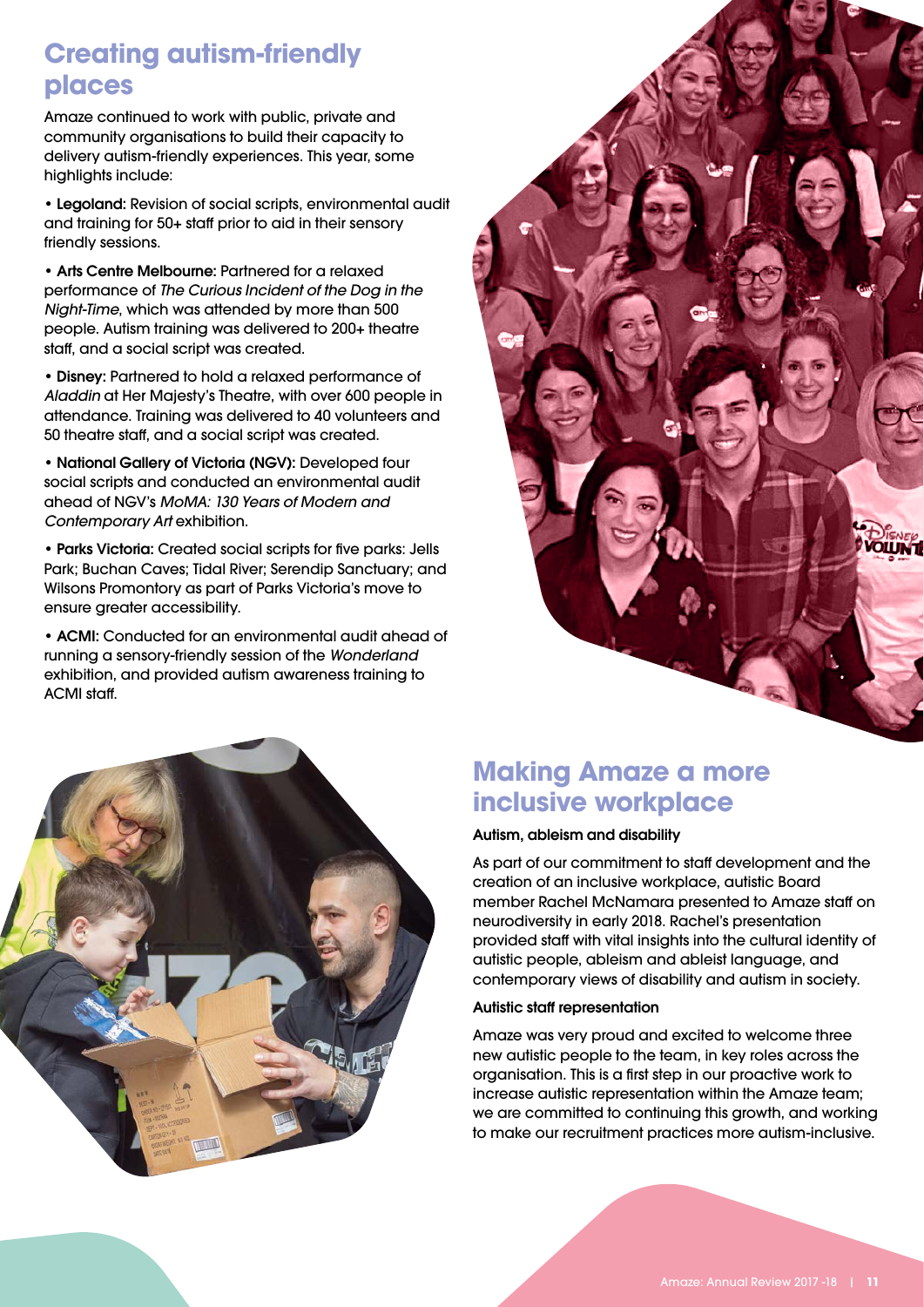#### **Creating autism-friendly places**

Amaze continued to work with public, private and community organisations to build their capacity to delivery autism-friendly experiences. This year, some highlights include:

• Legoland: Revision of social scripts, environmental audit and training for 50+ staff prior to aid in their sensory friendly sessions.

• Arts Centre Melbourne: Partnered for a relaxed performance of *The Curious Incident of the Dog in the Night-Time*, which was attended by more than 500 people. Autism training was delivered to 200+ theatre staff, and a social script was created.

• Disney: Partnered to hold a relaxed performance of *Aladdin* at Her Majesty's Theatre, with over 600 people in attendance. Training was delivered to 40 volunteers and 50 theatre staff, and a social script was created.

• National Gallery of Victoria (NGV): Developed four social scripts and conducted an environmental audit ahead of NGV's *MoMA: 130 Years of Modern and Contemporary Art* exhibition.

• Parks Victoria: Created social scripts for five parks: Jells Park; Buchan Caves; Tidal River; Serendip Sanctuary; and Wilsons Promontory as part of Parks Victoria's move to ensure greater accessibility.

• ACMI: Conducted for an environmental audit ahead of running a sensory-friendly session of the *Wonderland*  exhibition, and provided autism awareness training to ACMI staff.





### **Making Amaze a more inclusive workplace**

#### Autism, ableism and disability

As part of our commitment to staff development and the creation of an inclusive workplace, autistic Board member Rachel McNamara presented to Amaze staff on neurodiversity in early 2018. Rachel's presentation provided staff with vital insights into the cultural identity of autistic people, ableism and ableist language, and contemporary views of disability and autism in society.

#### Autistic staff representation

Amaze was very proud and excited to welcome three new autistic people to the team, in key roles across the organisation. This is a first step in our proactive work to increase autistic representation within the Amaze team; we are committed to continuing this growth, and working to make our recruitment practices more autism-inclusive.